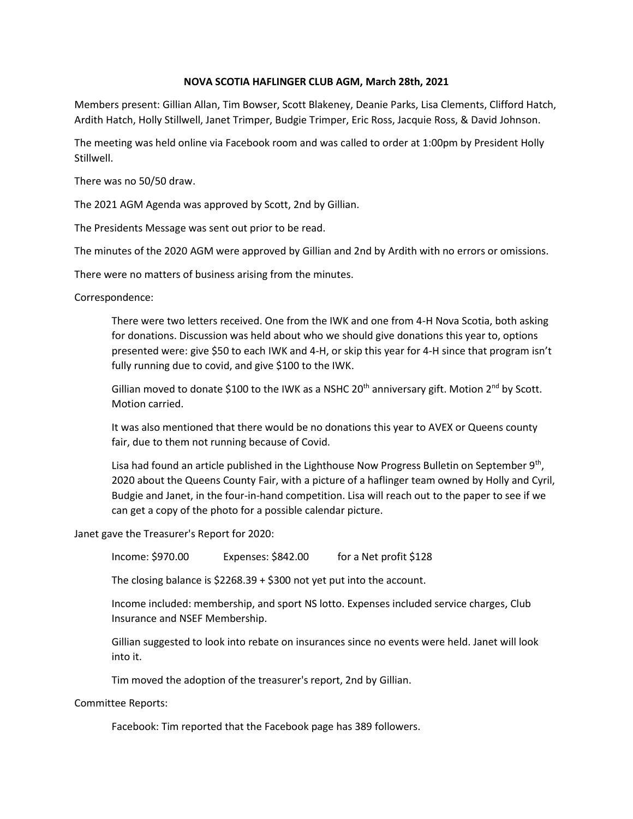## **NOVA SCOTIA HAFLINGER CLUB AGM, March 28th, 2021**

Members present: Gillian Allan, Tim Bowser, Scott Blakeney, Deanie Parks, Lisa Clements, Clifford Hatch, Ardith Hatch, Holly Stillwell, Janet Trimper, Budgie Trimper, Eric Ross, Jacquie Ross, & David Johnson.

The meeting was held online via Facebook room and was called to order at 1:00pm by President Holly Stillwell.

There was no 50/50 draw.

The 2021 AGM Agenda was approved by Scott, 2nd by Gillian.

The Presidents Message was sent out prior to be read.

The minutes of the 2020 AGM were approved by Gillian and 2nd by Ardith with no errors or omissions.

There were no matters of business arising from the minutes.

Correspondence:

There were two letters received. One from the IWK and one from 4-H Nova Scotia, both asking for donations. Discussion was held about who we should give donations this year to, options presented were: give \$50 to each IWK and 4-H, or skip this year for 4-H since that program isn't fully running due to covid, and give \$100 to the IWK.

Gillian moved to donate \$100 to the IWK as a NSHC 20<sup>th</sup> anniversary gift. Motion 2<sup>nd</sup> by Scott. Motion carried.

It was also mentioned that there would be no donations this year to AVEX or Queens county fair, due to them not running because of Covid.

Lisa had found an article published in the Lighthouse Now Progress Bulletin on September 9<sup>th</sup>, 2020 about the Queens County Fair, with a picture of a haflinger team owned by Holly and Cyril, Budgie and Janet, in the four-in-hand competition. Lisa will reach out to the paper to see if we can get a copy of the photo for a possible calendar picture.

Janet gave the Treasurer's Report for 2020:

Income: \$970.00 Expenses: \$842.00 for a Net profit \$128

The closing balance is \$2268.39 + \$300 not yet put into the account.

Income included: membership, and sport NS lotto. Expenses included service charges, Club Insurance and NSEF Membership.

Gillian suggested to look into rebate on insurances since no events were held. Janet will look into it.

Tim moved the adoption of the treasurer's report, 2nd by Gillian.

Committee Reports:

Facebook: Tim reported that the Facebook page has 389 followers.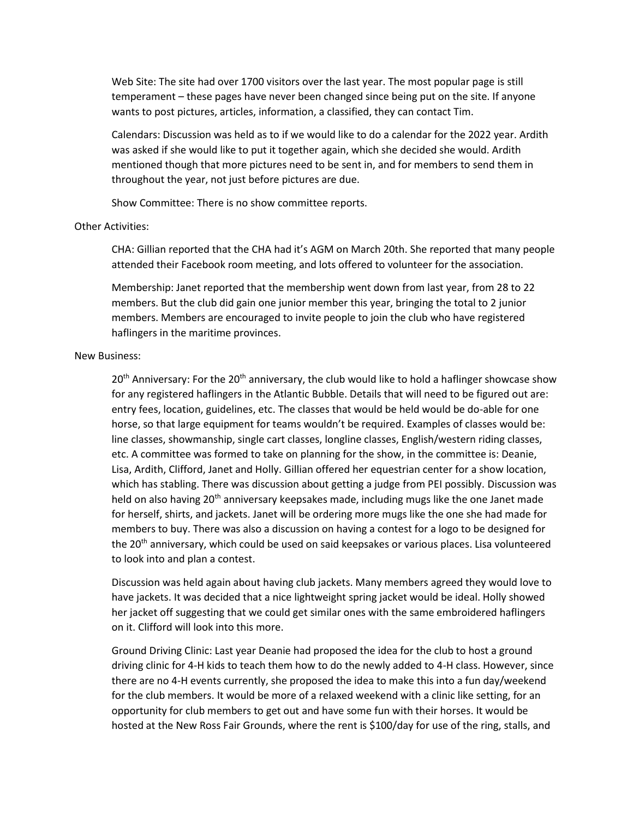Web Site: The site had over 1700 visitors over the last year. The most popular page is still temperament – these pages have never been changed since being put on the site. If anyone wants to post pictures, articles, information, a classified, they can contact Tim.

Calendars: Discussion was held as to if we would like to do a calendar for the 2022 year. Ardith was asked if she would like to put it together again, which she decided she would. Ardith mentioned though that more pictures need to be sent in, and for members to send them in throughout the year, not just before pictures are due.

Show Committee: There is no show committee reports.

## Other Activities:

CHA: Gillian reported that the CHA had it's AGM on March 20th. She reported that many people attended their Facebook room meeting, and lots offered to volunteer for the association.

Membership: Janet reported that the membership went down from last year, from 28 to 22 members. But the club did gain one junior member this year, bringing the total to 2 junior members. Members are encouraged to invite people to join the club who have registered haflingers in the maritime provinces.

## New Business:

 $20<sup>th</sup>$  Anniversary: For the  $20<sup>th</sup>$  anniversary, the club would like to hold a haflinger showcase show for any registered haflingers in the Atlantic Bubble. Details that will need to be figured out are: entry fees, location, guidelines, etc. The classes that would be held would be do-able for one horse, so that large equipment for teams wouldn't be required. Examples of classes would be: line classes, showmanship, single cart classes, longline classes, English/western riding classes, etc. A committee was formed to take on planning for the show, in the committee is: Deanie, Lisa, Ardith, Clifford, Janet and Holly. Gillian offered her equestrian center for a show location, which has stabling. There was discussion about getting a judge from PEI possibly. Discussion was held on also having 20<sup>th</sup> anniversary keepsakes made, including mugs like the one Janet made for herself, shirts, and jackets. Janet will be ordering more mugs like the one she had made for members to buy. There was also a discussion on having a contest for a logo to be designed for the 20<sup>th</sup> anniversary, which could be used on said keepsakes or various places. Lisa volunteered to look into and plan a contest.

Discussion was held again about having club jackets. Many members agreed they would love to have jackets. It was decided that a nice lightweight spring jacket would be ideal. Holly showed her jacket off suggesting that we could get similar ones with the same embroidered haflingers on it. Clifford will look into this more.

Ground Driving Clinic: Last year Deanie had proposed the idea for the club to host a ground driving clinic for 4-H kids to teach them how to do the newly added to 4-H class. However, since there are no 4-H events currently, she proposed the idea to make this into a fun day/weekend for the club members. It would be more of a relaxed weekend with a clinic like setting, for an opportunity for club members to get out and have some fun with their horses. It would be hosted at the New Ross Fair Grounds, where the rent is \$100/day for use of the ring, stalls, and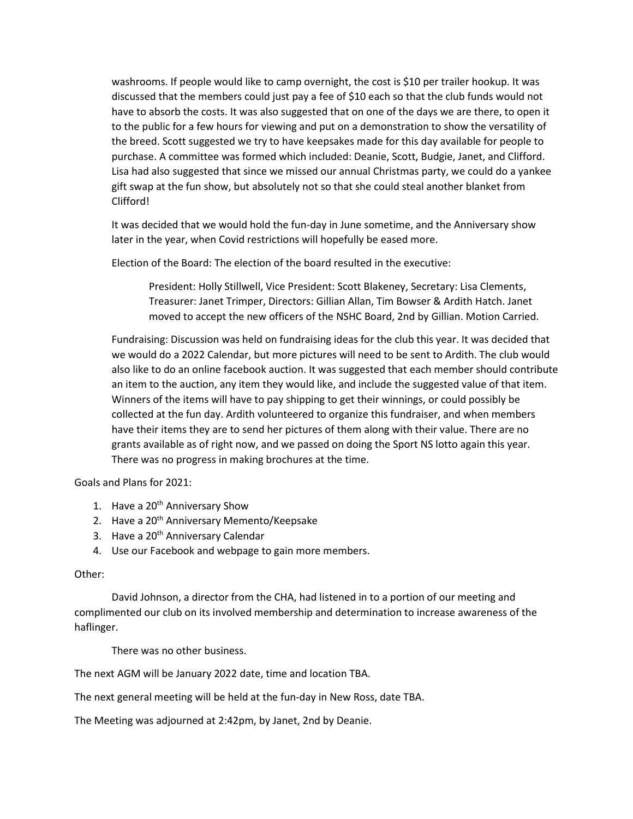washrooms. If people would like to camp overnight, the cost is \$10 per trailer hookup. It was discussed that the members could just pay a fee of \$10 each so that the club funds would not have to absorb the costs. It was also suggested that on one of the days we are there, to open it to the public for a few hours for viewing and put on a demonstration to show the versatility of the breed. Scott suggested we try to have keepsakes made for this day available for people to purchase. A committee was formed which included: Deanie, Scott, Budgie, Janet, and Clifford. Lisa had also suggested that since we missed our annual Christmas party, we could do a yankee gift swap at the fun show, but absolutely not so that she could steal another blanket from Clifford!

It was decided that we would hold the fun-day in June sometime, and the Anniversary show later in the year, when Covid restrictions will hopefully be eased more.

Election of the Board: The election of the board resulted in the executive:

President: Holly Stillwell, Vice President: Scott Blakeney, Secretary: Lisa Clements, Treasurer: Janet Trimper, Directors: Gillian Allan, Tim Bowser & Ardith Hatch. Janet moved to accept the new officers of the NSHC Board, 2nd by Gillian. Motion Carried.

Fundraising: Discussion was held on fundraising ideas for the club this year. It was decided that we would do a 2022 Calendar, but more pictures will need to be sent to Ardith. The club would also like to do an online facebook auction. It was suggested that each member should contribute an item to the auction, any item they would like, and include the suggested value of that item. Winners of the items will have to pay shipping to get their winnings, or could possibly be collected at the fun day. Ardith volunteered to organize this fundraiser, and when members have their items they are to send her pictures of them along with their value. There are no grants available as of right now, and we passed on doing the Sport NS lotto again this year. There was no progress in making brochures at the time.

Goals and Plans for 2021:

- 1. Have a 20<sup>th</sup> Anniversary Show
- 2. Have a 20<sup>th</sup> Anniversary Memento/Keepsake
- 3. Have a 20<sup>th</sup> Anniversary Calendar
- 4. Use our Facebook and webpage to gain more members.

## Other:

David Johnson, a director from the CHA, had listened in to a portion of our meeting and complimented our club on its involved membership and determination to increase awareness of the haflinger.

There was no other business.

The next AGM will be January 2022 date, time and location TBA.

The next general meeting will be held at the fun-day in New Ross, date TBA.

The Meeting was adjourned at 2:42pm, by Janet, 2nd by Deanie.